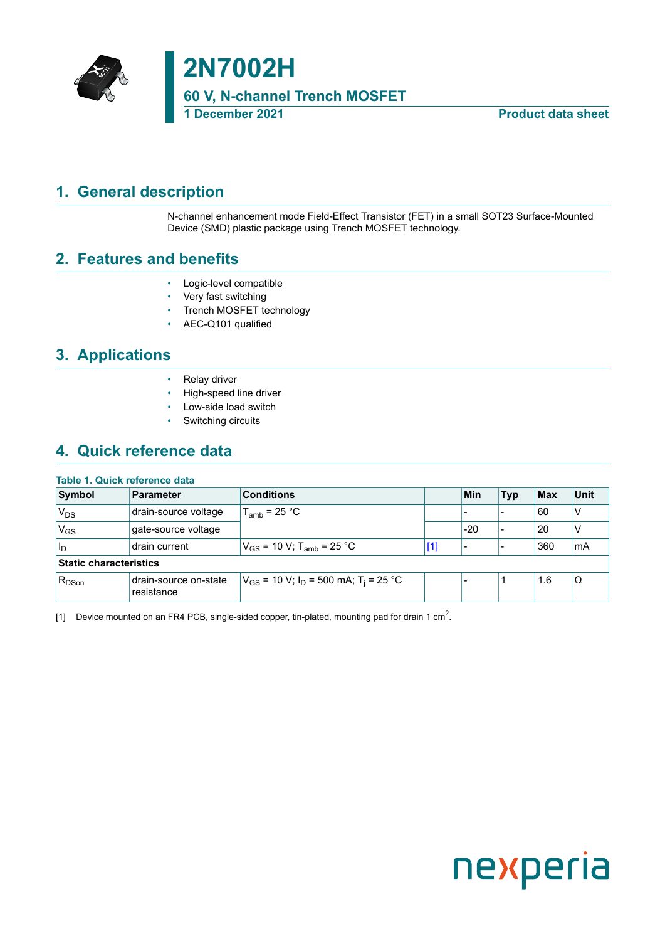

# **2N7002H 60 V, N-channel Trench MOSFET 1 December 2021 Product data sheet**

### <span id="page-0-1"></span>**1. General description**

<span id="page-0-0"></span>N-channel enhancement mode Field-Effect Transistor (FET) in a small SOT23 Surface-Mounted Device (SMD) plastic package using Trench MOSFET technology.

### <span id="page-0-2"></span>**2. Features and benefits**

- Logic-level compatible
- Very fast switching
- Trench MOSFET technology
- AEC-Q101 qualified

### <span id="page-0-3"></span>**3. Applications**

- Relay driver
- High-speed line driver
- Low-side load switch
- Switching circuits

### <span id="page-0-4"></span>**4. Quick reference data**

#### **Table 1. Quick reference data**

| Symbol                        | <b>Parameter</b>                    | <b>Conditions</b>                                                |     | Min                      | Typ                      | <b>Max</b> | <b>Unit</b> |
|-------------------------------|-------------------------------------|------------------------------------------------------------------|-----|--------------------------|--------------------------|------------|-------------|
| 'V <sub>DS</sub>              | drain-source voltage                | $T_{amb}$ = 25 °C                                                |     |                          |                          | 60         |             |
| 'V <sub>GS</sub>              | gate-source voltage                 |                                                                  |     | $-20$                    | $\overline{\phantom{0}}$ | 20         |             |
| ll <sub>D</sub>               | drain current                       | $V_{GS}$ = 10 V; T <sub>amb</sub> = 25 °C                        | [1] | $\overline{\phantom{0}}$ |                          | 360        | mA          |
| <b>Static characteristics</b> |                                     |                                                                  |     |                          |                          |            |             |
| R <sub>DSon</sub>             | drain-source on-state<br>resistance | $V_{GS}$ = 10 V; I <sub>D</sub> = 500 mA; T <sub>i</sub> = 25 °C |     |                          |                          | 1.6        | Ω           |

[1] Device mounted on an FR4 PCB, single-sided copper, tin-plated, mounting pad for drain 1 cm $^2$ .

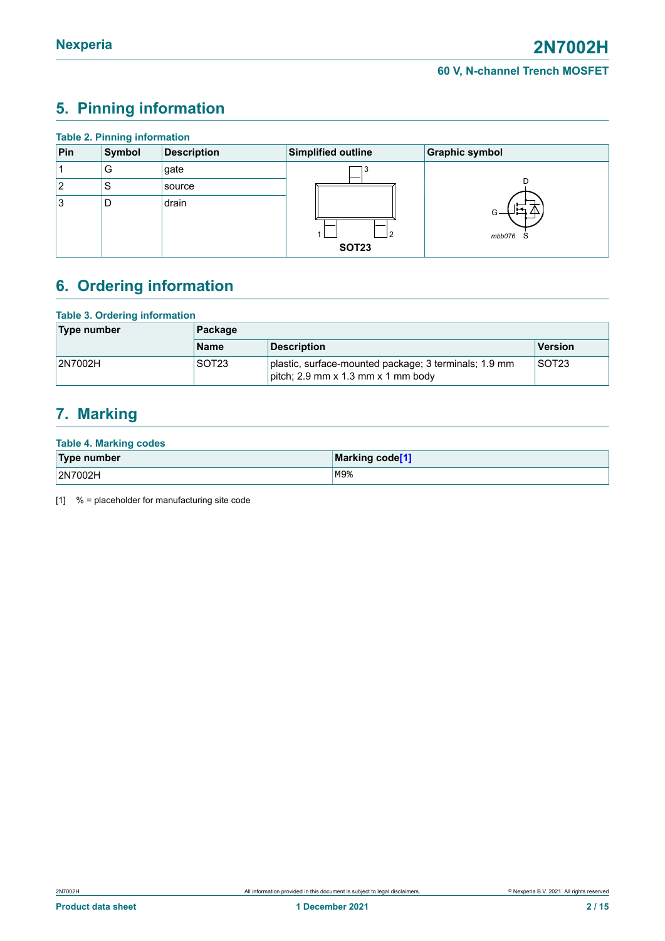## <span id="page-1-1"></span><span id="page-1-0"></span>**5. Pinning information**

| <b>Table 2. Pinning information</b> |               |                    |                    |                       |  |  |  |  |
|-------------------------------------|---------------|--------------------|--------------------|-----------------------|--|--|--|--|
| Pin                                 | <b>Symbol</b> | <b>Description</b> | Simplified outline | <b>Graphic symbol</b> |  |  |  |  |
|                                     | G             | gate               |                    |                       |  |  |  |  |
| $\overline{2}$                      | S             | source             |                    |                       |  |  |  |  |
| 3                                   | D             | drain              | <b>SOT23</b>       | mbb076                |  |  |  |  |

## <span id="page-1-2"></span>**6. Ordering information**

### **Table 3. Ordering information**

| Type number |             |                                                                                             |                   |
|-------------|-------------|---------------------------------------------------------------------------------------------|-------------------|
|             | <b>Name</b> | <b>Description</b>                                                                          | Version           |
| 2N7002H     | SOT23       | plastic, surface-mounted package; 3 terminals; 1.9 mm<br>pitch; 2.9 mm x 1.3 mm x 1 mm body | SOT <sub>23</sub> |

## <span id="page-1-3"></span>**7. Marking**

#### **Table 4. Marking codes**

| Type number | Marking code <sup>[1]</sup> |
|-------------|-----------------------------|
| 2N7002H     | M9%                         |

[1] % = placeholder for manufacturing site code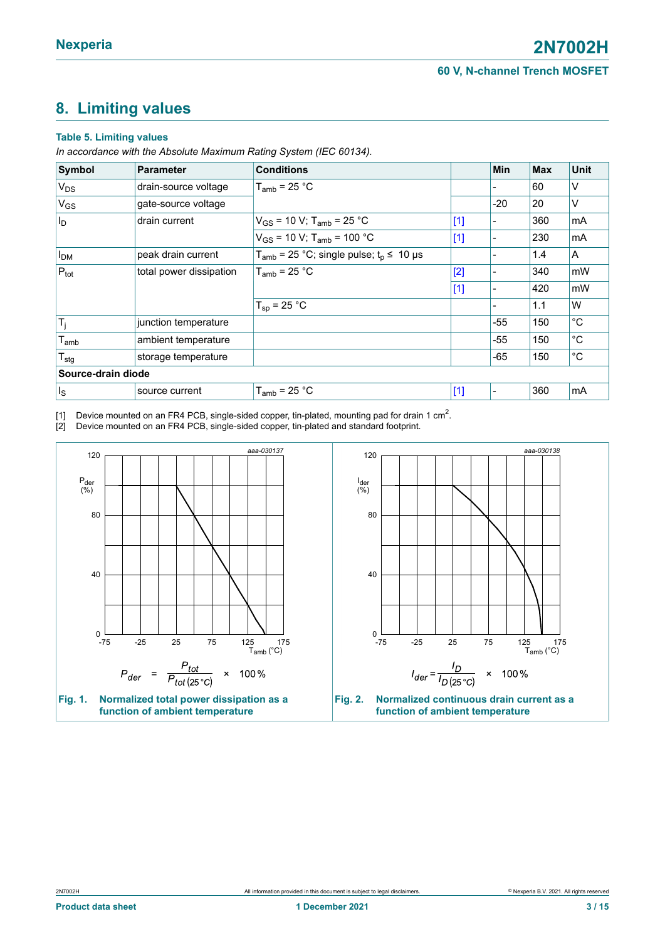**60 V, N-channel Trench MOSFET**

### <span id="page-2-1"></span><span id="page-2-0"></span>**8. Limiting values**

#### **Table 5. Limiting values**

*In accordance with the Absolute Maximum Rating System (IEC 60134).*

| Symbol                | <b>Parameter</b>        | <b>Conditions</b>                                |       | <b>Min</b>               | <b>Max</b> | <b>Unit</b>  |
|-----------------------|-------------------------|--------------------------------------------------|-------|--------------------------|------------|--------------|
| $V_{DS}$              | drain-source voltage    | $T_{amb}$ = 25 °C                                |       |                          | 60         | V            |
| <b>V<sub>GS</sub></b> | gate-source voltage     |                                                  |       | $-20$                    | 20         | ٧            |
| $ I_{\mathsf{D}} $    | drain current           | $V_{GS}$ = 10 V; T <sub>amb</sub> = 25 °C        | $[1]$ | $\overline{\phantom{0}}$ | 360        | mA           |
|                       |                         | $V_{GS}$ = 10 V; T <sub>amb</sub> = 100 °C       | $[1]$ | $\overline{\phantom{0}}$ | 230        | mA           |
| I <sub>DM</sub>       | peak drain current      | $T_{amb}$ = 25 °C; single pulse; $t_p \le 10$ µs |       |                          | 1.4        | A            |
| $P_{\text{tot}}$      | total power dissipation | $T_{amb}$ = 25 °C                                | [2]   |                          | 340        | mW           |
|                       |                         |                                                  | $[1]$ |                          | 420        | mW           |
|                       |                         | $T_{sp}$ = 25 °C                                 |       |                          | 1.1        | W            |
| $T_j$                 | junction temperature    |                                                  |       | $-55$                    | 150        | °C           |
| $T_{amb}$             | ambient temperature     |                                                  |       | $-55$                    | 150        | $^{\circ}$ C |
| $T_{\text{stg}}$      | storage temperature     |                                                  |       | $-65$                    | 150        | $^{\circ}$ C |
| Source-drain diode    |                         |                                                  |       |                          |            |              |
| $\vert$ <sub>s</sub>  | source current          | $T_{amb}$ = 25 °C                                | $[1]$ | $\overline{\phantom{0}}$ | 360        | mA           |

[1] Device mounted on an FR4 PCB, single-sided copper, tin-plated, mounting pad for drain 1 cm $^2$ .

[2] Device mounted on an FR4 PCB, single-sided copper, tin-plated and standard footprint.

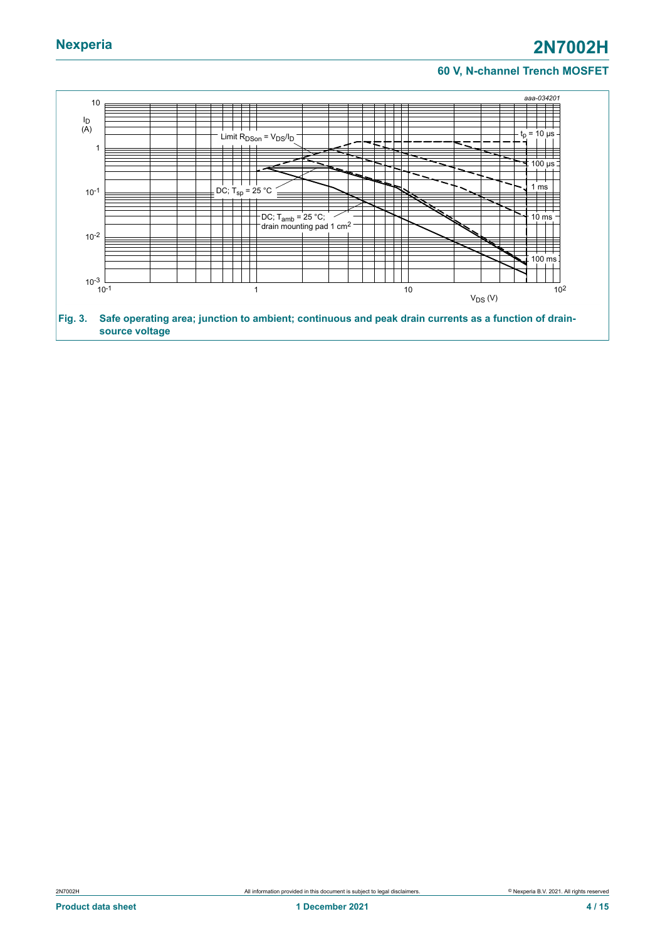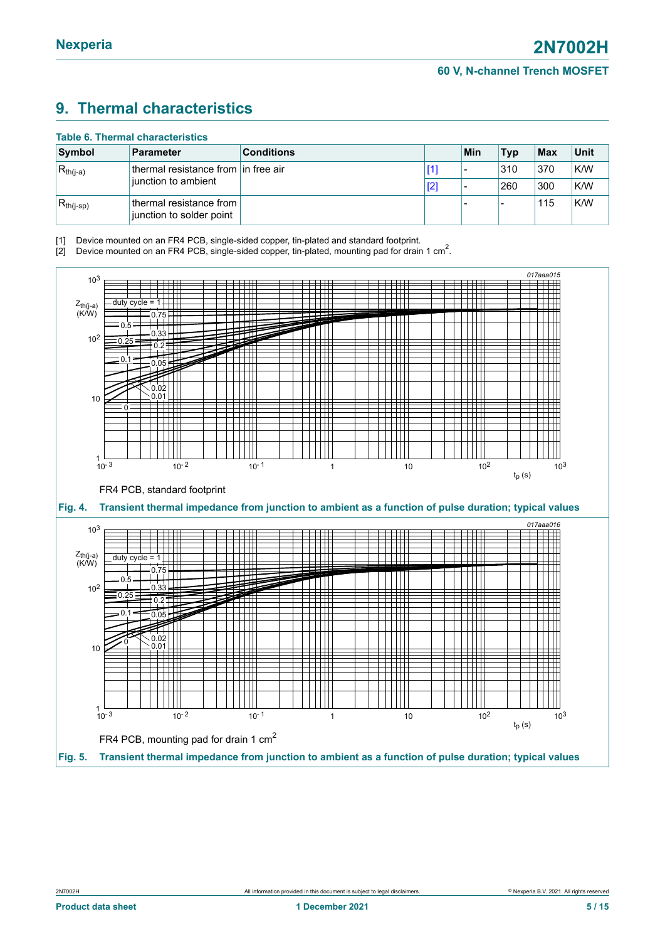## <span id="page-4-1"></span><span id="page-4-0"></span>**9. Thermal characteristics**

| <b>Table 6. Thermal characteristics</b> |                                                     |                   |  |     |            |         |      |
|-----------------------------------------|-----------------------------------------------------|-------------------|--|-----|------------|---------|------|
| Symbol                                  | <b>Parameter</b>                                    | <b>Conditions</b> |  | Min | <b>Typ</b> | $ $ Max | Unit |
| $ R_{th(j-a)} $<br>junction to ambient  | thermal resistance from in free air                 |                   |  |     | 310        | 370     | K/W  |
|                                         |                                                     | [2]               |  | 260 | 300        | K/W     |      |
| $R_{th(i-sp)}$                          | thermal resistance from<br>junction to solder point |                   |  |     |            | 115     | K/W  |

[1] Device mounted on an FR4 PCB, single-sided copper, tin-plated and standard footprint.

[2] Device mounted on an FR4 PCB, single-sided copper, tin-plated, mounting pad for drain 1 cm<sup>2</sup>.

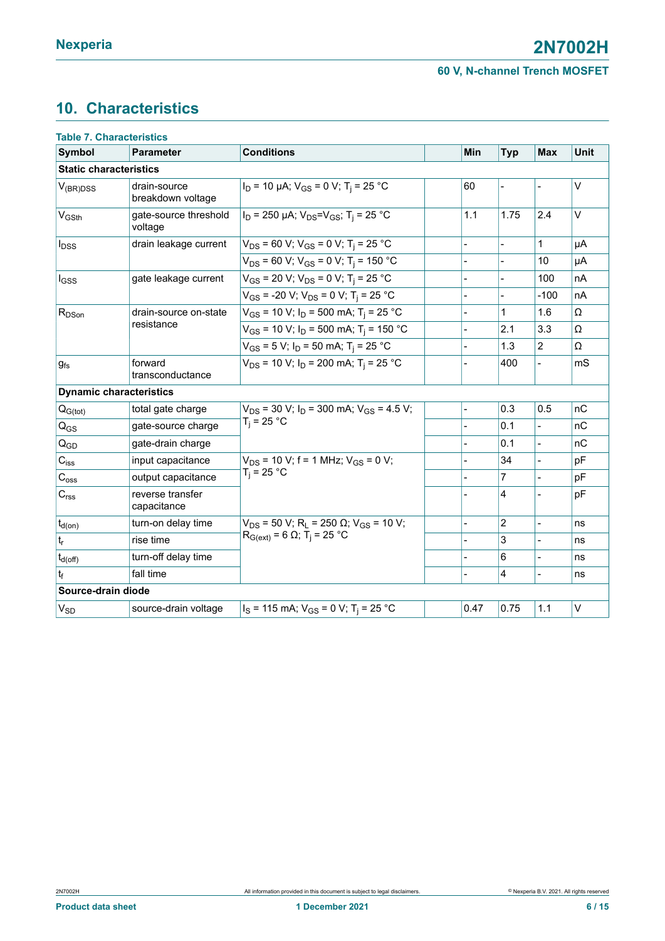# <span id="page-5-0"></span>**10. Characteristics**

| <b>Table 7. Characteristics</b>   |                                                                                                     |                                                                                    |                |                |             |
|-----------------------------------|-----------------------------------------------------------------------------------------------------|------------------------------------------------------------------------------------|----------------|----------------|-------------|
| <b>Parameter</b>                  | <b>Conditions</b>                                                                                   | Min                                                                                | <b>Typ</b>     | Max            | <b>Unit</b> |
|                                   |                                                                                                     |                                                                                    |                |                |             |
| drain-source<br>breakdown voltage | $I_D$ = 10 µA; $V_{GS}$ = 0 V; T <sub>i</sub> = 25 °C                                               | 60                                                                                 | $\frac{1}{2}$  |                | $\vee$      |
| gate-source threshold<br>voltage  | $I_D$ = 250 µA; $V_{DS} = V_{GS}$ ; T <sub>i</sub> = 25 °C                                          | 1.1                                                                                | 1.75           | 2.4            | $\vee$      |
| drain leakage current             | $V_{DS}$ = 60 V; V <sub>GS</sub> = 0 V; T <sub>i</sub> = 25 °C                                      |                                                                                    |                | 1              | μA          |
|                                   | $V_{DS}$ = 60 V; V <sub>GS</sub> = 0 V; T <sub>i</sub> = 150 °C                                     |                                                                                    |                | 10             | μA          |
| gate leakage current              | $V_{GS}$ = 20 V; $V_{DS}$ = 0 V; T <sub>i</sub> = 25 °C                                             |                                                                                    |                | 100            | nA          |
|                                   | $V_{GS}$ = -20 V; $V_{DS}$ = 0 V; T <sub>i</sub> = 25 °C                                            |                                                                                    |                | $-100$         | nA          |
| drain-source on-state             | $V_{GS}$ = 10 V; $I_D$ = 500 mA; T <sub>i</sub> = 25 °C                                             |                                                                                    | $\mathbf{1}$   | 1.6            | Ω           |
|                                   | $V_{GS}$ = 10 V; $I_D$ = 500 mA; T <sub>i</sub> = 150 °C                                            | $\overline{a}$                                                                     | 2.1            | 3.3            | Ω           |
|                                   | $V_{GS}$ = 5 V; $I_D$ = 50 mA; T <sub>i</sub> = 25 °C                                               |                                                                                    | 1.3            | $\overline{2}$ | Ω           |
| forward<br>transconductance       | $V_{DS}$ = 10 V; $I_D$ = 200 mA; T <sub>i</sub> = 25 °C                                             | $\overline{a}$                                                                     | 400            |                | mS          |
|                                   |                                                                                                     |                                                                                    |                |                |             |
| total gate charge                 | $V_{DS}$ = 30 V; $I_D$ = 300 mA; $V_{GS}$ = 4.5 V;                                                  | $\overline{a}$                                                                     | 0.3            | 0.5            | nC          |
| gate-source charge                |                                                                                                     |                                                                                    | 0.1            |                | nC          |
| gate-drain charge                 |                                                                                                     |                                                                                    | 0.1            |                | nC          |
| input capacitance                 | $V_{DS}$ = 10 V; f = 1 MHz; $V_{GS}$ = 0 V;                                                         |                                                                                    | 34             |                | pF          |
| output capacitance                |                                                                                                     |                                                                                    | $\overline{7}$ |                | pF          |
| reverse transfer<br>capacitance   |                                                                                                     | $\overline{a}$                                                                     | 4              |                | pF          |
| turn-on delay time                | $V_{DS}$ = 50 V; R <sub>1</sub> = 250 $\Omega$ ; V <sub>GS</sub> = 10 V;                            |                                                                                    | $\overline{2}$ | $\overline{a}$ | ns          |
| rise time                         |                                                                                                     |                                                                                    | 3              |                | ns          |
| turn-off delay time               |                                                                                                     |                                                                                    | 6              |                | ns          |
| fall time                         |                                                                                                     |                                                                                    | 4              |                | ns          |
|                                   |                                                                                                     |                                                                                    |                |                |             |
| source-drain voltage              | $I_S$ = 115 mA; $V_{GS}$ = 0 V; T <sub>i</sub> = 25 °C                                              | 0.47                                                                               | 0.75           | 1.1            | $\vee$      |
|                                   | <b>Static characteristics</b><br>resistance<br><b>Dynamic characteristics</b><br>Source-drain diode | $T_i = 25 °C$<br>$T_i = 25 °C$<br>$R_{G(ext)} = 6 \Omega$ ; T <sub>i</sub> = 25 °C |                |                |             |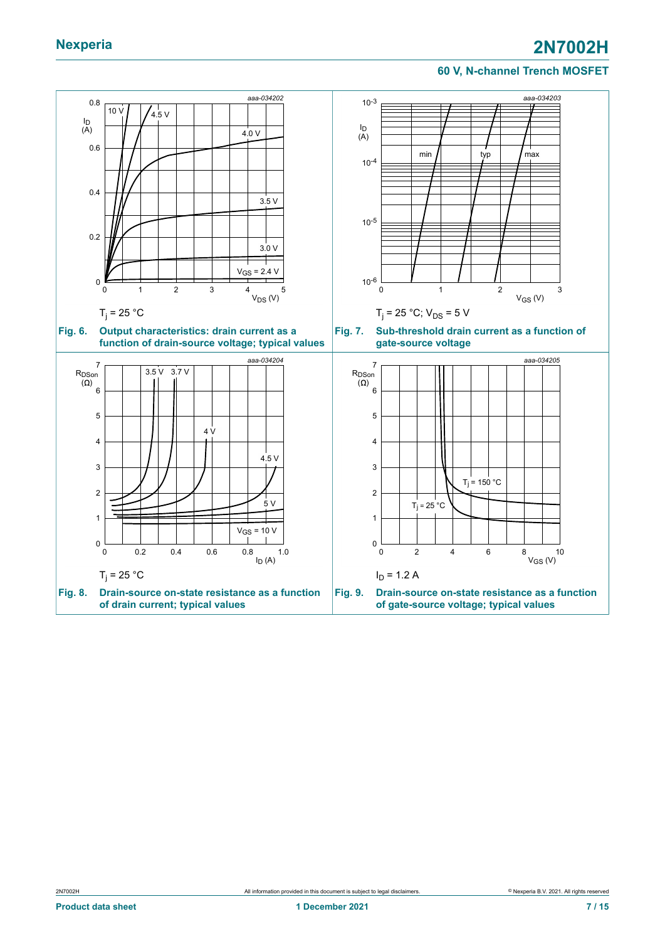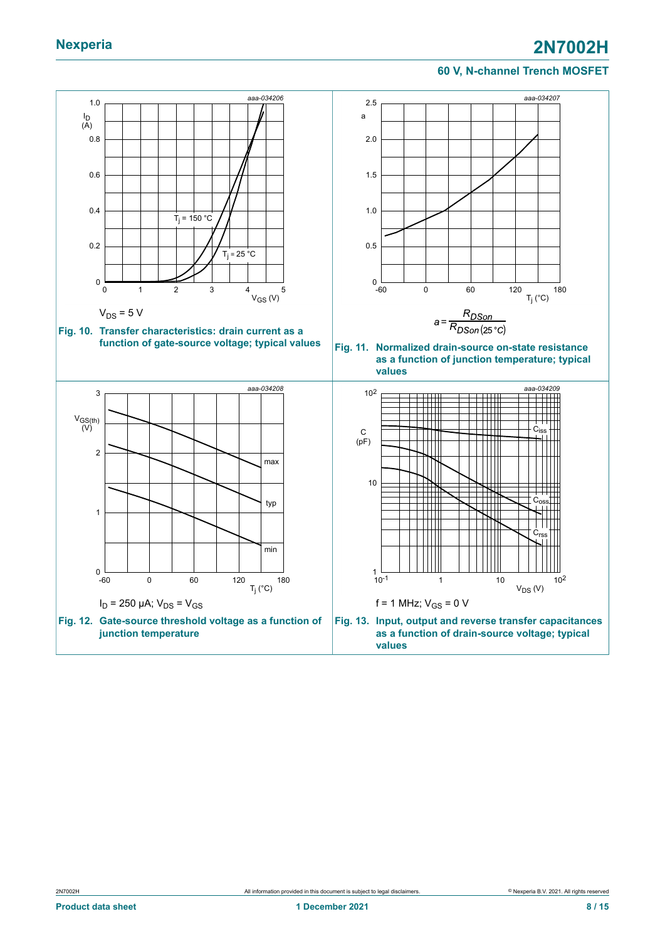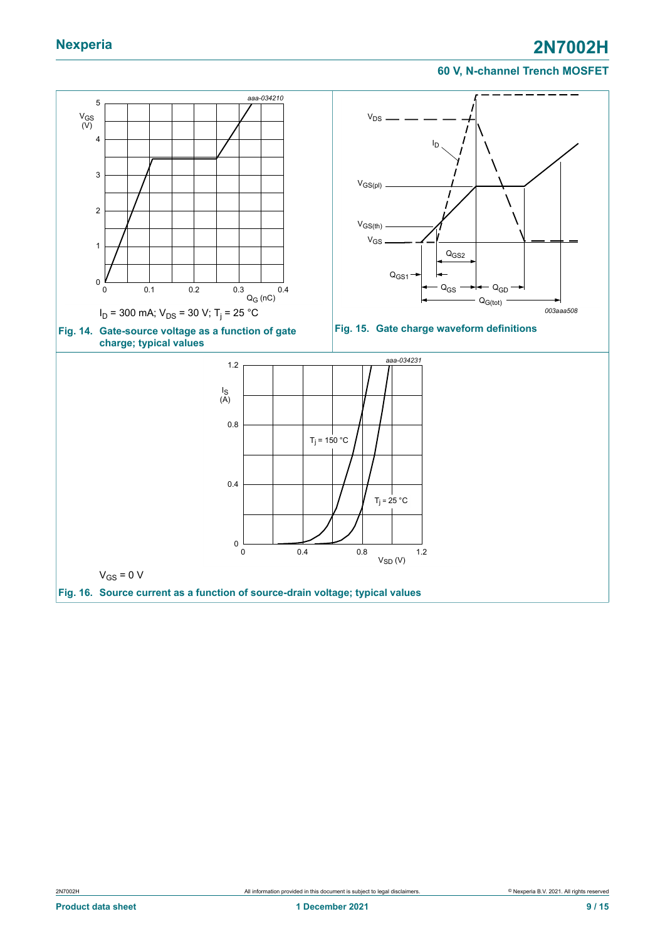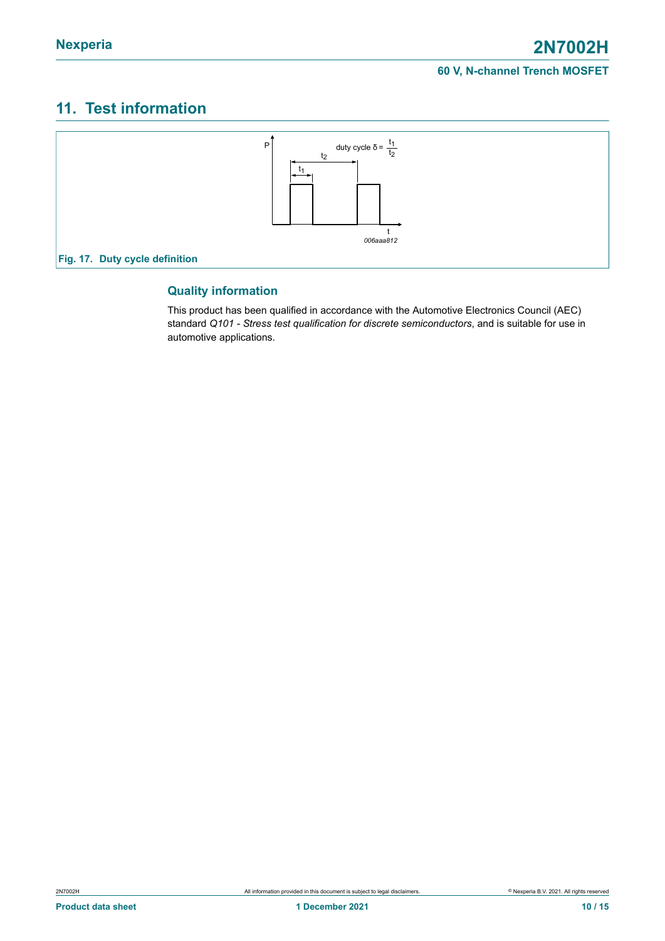### <span id="page-9-0"></span>**11. Test information**



### **Quality information**

This product has been qualified in accordance with the Automotive Electronics Council (AEC) standard *Q101 - Stress test qualification for discrete semiconductors*, and is suitable for use in automotive applications.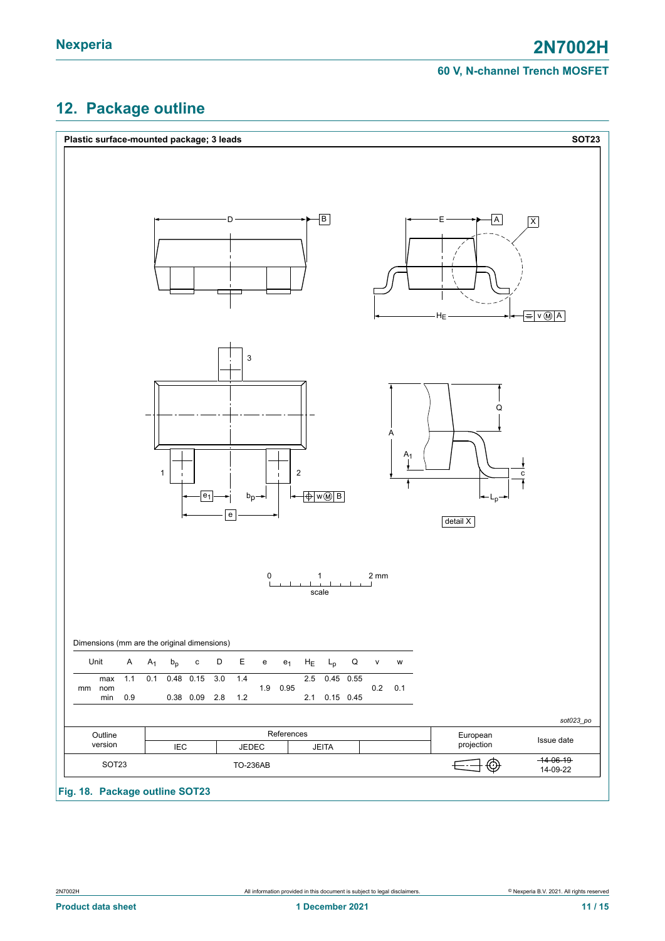## <span id="page-10-0"></span>**12. Package outline**

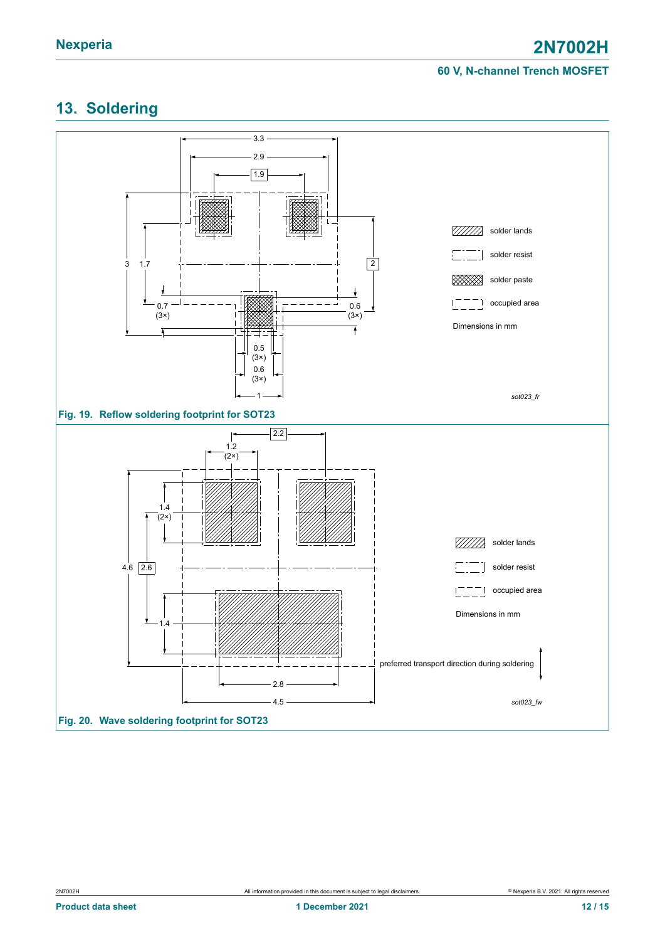### **60 V, N-channel Trench MOSFET**

# <span id="page-11-0"></span>**13. Soldering**

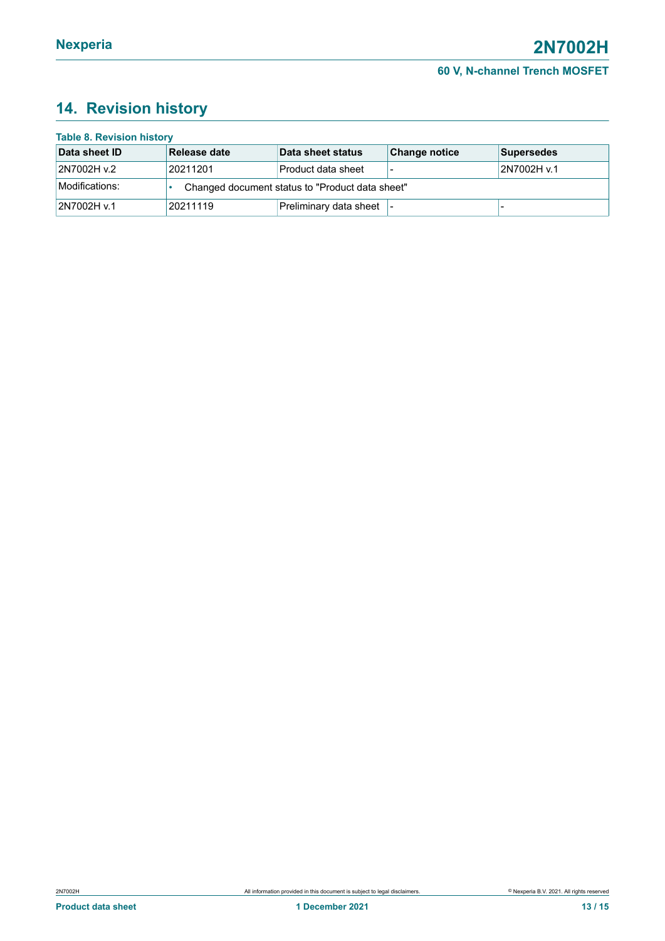# <span id="page-12-0"></span>**14. Revision history**

| <b>Table 8. Revision history</b> |                                                 |                        |                      |                   |  |  |
|----------------------------------|-------------------------------------------------|------------------------|----------------------|-------------------|--|--|
| Data sheet ID                    | Release date                                    | Data sheet status      | <b>Change notice</b> | <b>Supersedes</b> |  |  |
| 2N7002H v.2                      | 20211201                                        | Product data sheet     |                      | 2N7002H v.1       |  |  |
| Modifications:                   | Changed document status to "Product data sheet" |                        |                      |                   |  |  |
| 2N7002H v.1                      | 20211119                                        | Preliminary data sheet |                      |                   |  |  |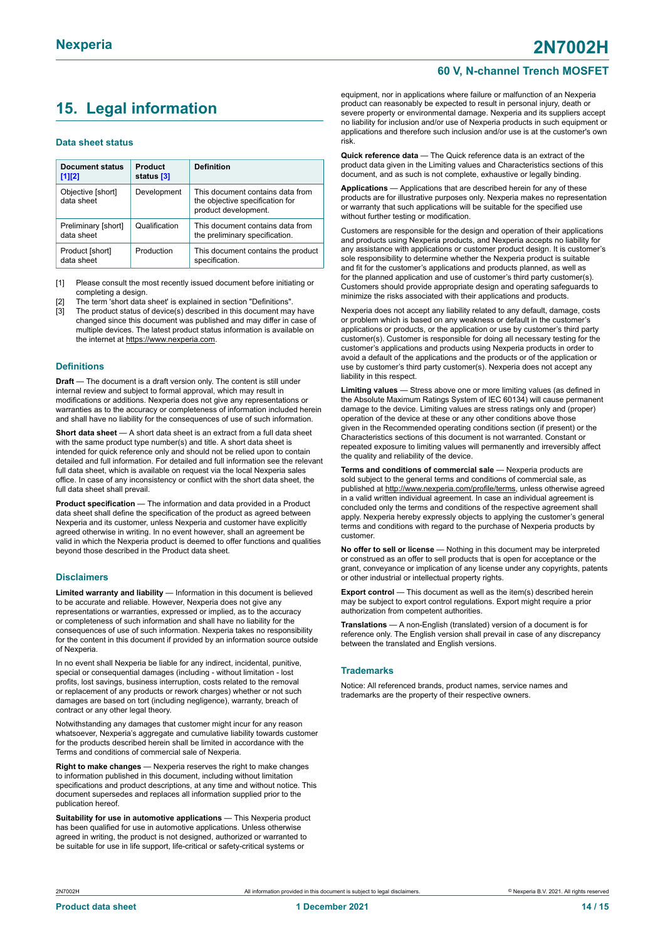## <span id="page-13-0"></span>**15. Legal information**

#### **Data sheet status**

| Document status<br>$[1]$ [2]      | Product<br>status [3] | <b>Definition</b>                                                                           |
|-----------------------------------|-----------------------|---------------------------------------------------------------------------------------------|
| Objective [short]<br>data sheet   | Development           | This document contains data from<br>the objective specification for<br>product development. |
| Preliminary [short]<br>data sheet | Qualification         | This document contains data from<br>the preliminary specification.                          |
| Product [short]<br>data sheet     | Production            | This document contains the product<br>specification.                                        |

[1] Please consult the most recently issued document before initiating or completing a design.

The term 'short data sheet' is explained in section "Definitions".

[3] The product status of device(s) described in this document may have changed since this document was published and may differ in case of multiple devices. The latest product status information is available on the internet at [https://www.nexperia.com.](https://www.nexperia.com)

#### **Definitions**

**Draft** — The document is a draft version only. The content is still under internal review and subject to formal approval, which may result in modifications or additions. Nexperia does not give any representations or warranties as to the accuracy or completeness of information included herein and shall have no liability for the consequences of use of such information.

**Short data sheet** — A short data sheet is an extract from a full data sheet with the same product type number(s) and title. A short data sheet is intended for quick reference only and should not be relied upon to contain detailed and full information. For detailed and full information see the relevant full data sheet, which is available on request via the local Nexperia sales office. In case of any inconsistency or conflict with the short data sheet, the full data sheet shall prevail.

**Product specification** — The information and data provided in a Product data sheet shall define the specification of the product as agreed between Nexperia and its customer, unless Nexperia and customer have explicitly agreed otherwise in writing. In no event however, shall an agreement be valid in which the Nexperia product is deemed to offer functions and qualities beyond those described in the Product data sheet.

#### **Disclaimers**

**Limited warranty and liability** — Information in this document is believed to be accurate and reliable. However, Nexperia does not give any representations or warranties, expressed or implied, as to the accuracy or completeness of such information and shall have no liability for the consequences of use of such information. Nexperia takes no responsibility for the content in this document if provided by an information source outside of Nexperia.

In no event shall Nexperia be liable for any indirect, incidental, punitive, special or consequential damages (including - without limitation - lost profits, lost savings, business interruption, costs related to the removal or replacement of any products or rework charges) whether or not such damages are based on tort (including negligence), warranty, breach of contract or any other legal theory.

Notwithstanding any damages that customer might incur for any reason whatsoever, Nexperia's aggregate and cumulative liability towards customer for the products described herein shall be limited in accordance with the Terms and conditions of commercial sale of Nexperia.

**Right to make changes** — Nexperia reserves the right to make changes to information published in this document, including without limitation specifications and product descriptions, at any time and without notice. This document supersedes and replaces all information supplied prior to the publication hereof

**Suitability for use in automotive applications** — This Nexperia product has been qualified for use in automotive applications. Unless otherwise agreed in writing, the product is not designed, authorized or warranted to be suitable for use in life support, life-critical or safety-critical systems or

#### **60 V, N-channel Trench MOSFET**

equipment, nor in applications where failure or malfunction of an Nexperia product can reasonably be expected to result in personal injury, death or severe property or environmental damage. Nexperia and its suppliers accept no liability for inclusion and/or use of Nexperia products in such equipment or applications and therefore such inclusion and/or use is at the customer's own risk.

**Quick reference data** — The Quick reference data is an extract of the product data given in the Limiting values and Characteristics sections of this document, and as such is not complete, exhaustive or legally binding.

**Applications** — Applications that are described herein for any of these products are for illustrative purposes only. Nexperia makes no representation or warranty that such applications will be suitable for the specified use without further testing or modification.

Customers are responsible for the design and operation of their applications and products using Nexperia products, and Nexperia accepts no liability for any assistance with applications or customer product design. It is customer's sole responsibility to determine whether the Nexperia product is suitable and fit for the customer's applications and products planned, as well as for the planned application and use of customer's third party customer(s). Customers should provide appropriate design and operating safeguards to minimize the risks associated with their applications and products.

Nexperia does not accept any liability related to any default, damage, costs or problem which is based on any weakness or default in the customer's applications or products, or the application or use by customer's third party customer(s). Customer is responsible for doing all necessary testing for the customer's applications and products using Nexperia products in order to avoid a default of the applications and the products or of the application or use by customer's third party customer(s). Nexperia does not accept any liability in this respect.

**Limiting values** — Stress above one or more limiting values (as defined in the Absolute Maximum Ratings System of IEC 60134) will cause permanent damage to the device. Limiting values are stress ratings only and (proper) operation of the device at these or any other conditions above those given in the Recommended operating conditions section (if present) or the Characteristics sections of this document is not warranted. Constant or repeated exposure to limiting values will permanently and irreversibly affect the quality and reliability of the device.

**Terms and conditions of commercial sale** — Nexperia products are sold subject to the general terms and conditions of commercial sale, as published at [http://www.nexperia.com/profile/terms,](http://www.nexperia.com/profile/terms) unless otherwise agreed in a valid written individual agreement. In case an individual agreement is concluded only the terms and conditions of the respective agreement shall apply. Nexperia hereby expressly objects to applying the customer's general terms and conditions with regard to the purchase of Nexperia products by customer.

**No offer to sell or license** — Nothing in this document may be interpreted or construed as an offer to sell products that is open for acceptance or the grant, conveyance or implication of any license under any copyrights, patents or other industrial or intellectual property rights.

**Export control** — This document as well as the item(s) described herein may be subject to export control regulations. Export might require a prior authorization from competent authorities.

**Translations** — A non-English (translated) version of a document is for reference only. The English version shall prevail in case of any discrepancy between the translated and English versions.

#### **Trademarks**

Notice: All referenced brands, product names, service names and trademarks are the property of their respective owners.